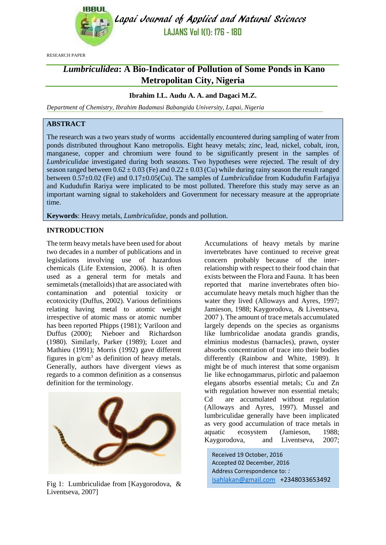

Lapai Journal of Applied and Natural Sciences **LAJANS Vol 1(1): 176 - 180**

RESEARCH PAPER

# *Lumbriculidea***: A Bio-Indicator of Pollution of Some Ponds in Kano Metropolitan City, Nigeria**

## **Ibrahim I.L. Audu A. A. and Dagaci M.Z.**

*Department of Chemistry, Ibrahim Badamasi Babangida University, Lapai, Nigeria*

## **ABSTRACT**

The research was a two years study of worms accidentally encountered during sampling of water from ponds distributed throughout Kano metropolis. Eight heavy metals; zinc, lead, nickel, cobalt, iron, manganese, copper and chromium were found to be significantly present in the samples of *Lumbriculidae* investigated during both seasons. Two hypotheses were rejected. The result of dry season ranged between  $0.62 \pm 0.03$  (Fe) and  $0.22 \pm 0.03$  (Cu) while during rainy season the result ranged between 0.57±0.02 (Fe) and 0.17±0.05(Cu). The samples of *Lumbriculidae* from Kududufin Farfajiya and Kududufin Rariya were implicated to be most polluted. Therefore this study may serve as an important warning signal to stakeholders and Government for necessary measure at the appropriate time.

**Keywords**: Heavy metals, *Lumbriculidae*, ponds and pollution.

#### **INTRODUCTION**

The term heavy metals have been used for about two decades in a number of publications and in legislations involving use of hazardous chemicals (Life Extension, 2006). It is often used as a general term for metals and semimetals (metalloids) that are associated with contamination and potential toxicity or ecotoxicity (Duffus, 2002). Various definitions relating having metal to atomic weight irrespective of atomic mass or atomic number has been reported Phipps (1981); Variloon and Duffus (2000); Nieboer and Richardson (1980). Similarly, Parker (1989); Lozet and Mathieu (1991); Morris (1992) gave different figures in  $g/cm<sup>3</sup>$  as definition of heavy metals. Generally, authors have divergent views as regards to a common definition as a consensus definition for the terminology.



Fig 1: Lumbriculidae from [Kaygorodova, & Liventseva, 2007]

Accumulations of heavy metals by marine invertebrates have continued to receive great concern probably because of the interrelationship with respect to their food chain that exists between the Flora and Fauna. It has been reported that marine invertebrates often bioaccumulate heavy metals much higher than the water they lived (Alloways and Ayres, 1997; Jamieson, 1988; Kaygorodova, & Liventseva, 2007 ). The amount of trace metals accumulated largely depends on the species as organisms like lumbricolidae anodata grandis grandis, elminius modestus (barnacles), prawn, oyster absorbs concentration of trace into their bodies differently (Rainbow and White, 1989). It might be of much interest that some organism lie like echnogammarus, pirlotic and palaemon elegans absorbs essential metals; Cu and Zn with regulation however non essential metals; Cd are accumulated without regulation (Alloways and Ayres, 1997). Mussel and lumbriculidae generally have been implicated as very good accumulation of trace metals in aquatic ecosystem (Jamieson, 1988; Kaygorodova, and Liventseva, 2007;

Received 19 October, 2016 Accepted 02 December, 2016 Address Correspondence to: *:*  [isahlakan@gmail.com](mailto:isahlakan@gmail.com) +2348033653492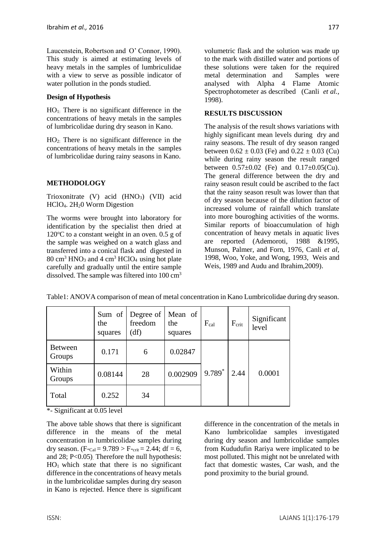Laucenstein, Robertson and O' Connor, 1990). This study is aimed at estimating levels of heavy metals in the samples of lumbriculidae with a view to serve as possible indicator of water pollution in the ponds studied.

#### **Design of Hypothesis**

HO1: There is no significant difference in the concentrations of heavy metals in the samples of lumbricolidae during dry season in Kano.

HO2: There is no significant difference in the concentrations of heavy metals in the samples of lumbricolidae during rainy seasons in Kano.

## **METHODOLOGY**

Trioxonitrate (V) acid  $(HNO<sub>3</sub>)$  (VII) acid HClO4. 2H20 Worm Digestion

The worms were brought into laboratory for identification by the specialist then dried at  $120^{\circ}$ C to a constant weight in an oven. 0.5 g of the sample was weighed on a watch glass and transferred into a conical flask and digested in  $80 \text{ cm}^3$  HNO<sub>3</sub> and 4 cm<sup>3</sup> HClO<sub>4</sub> using hot plate carefully and gradually until the entire sample dissolved. The sample was filtered into 100 cm<sup>3</sup>

volumetric flask and the solution was made up to the mark with distilled water and portions of these solutions were taken for the required metal determination and Samples were analysed with Alpha 4 Flame Atomic Spectrophotometer as described (Canli *et al.,* 1998).

#### **RESULTS DISCUSSION**

The analysis of the result shows variations with highly significant mean levels during dry and rainy seasons. The result of dry season ranged between  $0.62 \pm 0.03$  (Fe) and  $0.22 \pm 0.03$  (Cu) while during rainy season the result ranged between  $0.57\pm0.02$  (Fe) and  $0.17\pm0.05$ (Cu). The general difference between the dry and rainy season result could be ascribed to the fact that the rainy season result was lower than that of dry season because of the dilution factor of increased volume of rainfall which translate into more bouroghing activities of the worms. Similar reports of bioaccumulation of high concentration of heavy metals in aquatic lives are reported (Ademoroti, 1988 &1995, Munson, Palmer, and Forn, 1976, Canli *et al,* 1998, Woo, Yoke, and Wong, 1993, Weis and Weis, 1989 and Audu and Ibrahim,2009).

|                          | the<br>squares | Sum of Degree of<br>freedom<br>(df) | Mean of<br>the<br>squares | $F_{cal}$ | $F_{\text{crit}}$ | Significant<br>level |
|--------------------------|----------------|-------------------------------------|---------------------------|-----------|-------------------|----------------------|
| <b>Between</b><br>Groups | 0.171          | 6                                   | 0.02847                   |           |                   |                      |
| Within<br>Groups         | 0.08144        | 28                                  | 0.002909                  | 9.789*    | 2.44              | 0.0001               |
| Total                    | 0.252          | 34                                  |                           |           |                   |                      |

Table1: ANOVA comparison of mean of metal concentration in Kano Lumbricolidae during dry season.

\*- Significant at 0.05 level

The above table shows that there is significant difference in the means of the metal concentration in lumbricolidae samples during dry season. (F-cal =  $9.789 > F$ -crit = 2.44; df = 6, and 28; P<0.05). Therefore the null hypothesis:  $HO<sub>1</sub>$  which state that there is no significant difference in the concentrations of heavy metals in the lumbricolidae samples during dry season in Kano is rejected. Hence there is significant difference in the concentration of the metals in Kano lumbricolidae samples investigated during dry season and lumbricolidae samples from Kududufin Rariya were implicated to be most polluted. This might not be unrelated with fact that domestic wastes, Car wash, and the pond proximity to the burial ground.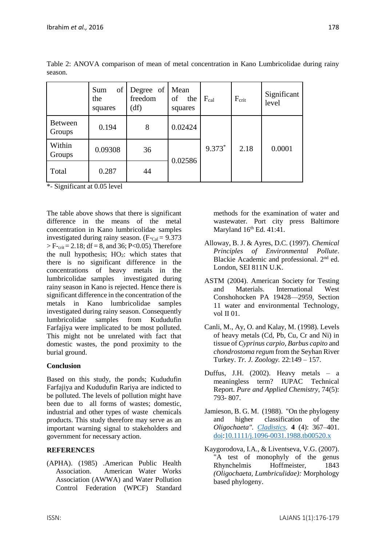|                          | of<br>Sum<br>the<br>squares | Degree of<br>freedom<br>(df) | Mean<br>of<br>the<br>squares | $F_{cal}$ | $F_{\text{crit}}$ | Significant<br>level |
|--------------------------|-----------------------------|------------------------------|------------------------------|-----------|-------------------|----------------------|
| <b>Between</b><br>Groups | 0.194                       | 8                            | 0.02424                      | 9.373*    | 2.18              | 0.0001               |
| Within<br>Groups         | 0.09308                     | 36                           | 0.02586                      |           |                   |                      |
| Total                    | 0.287                       | 44                           |                              |           |                   |                      |

Table 2: ANOVA comparison of mean of metal concentration in Kano Lumbricolidae during rainy season.

\*- Significant at 0.05 level

The table above shows that there is significant difference in the means of the metal concentration in Kano lumbricolidae samples investigated during rainy season.  $(F_{\text{Cal}} = 9.373)$  $>$  F-crit = 2.18; df = 8, and 36; P<0.05). Therefore the null hypothesis:  $HO<sub>2</sub>$ : which states that there is no significant difference in the concentrations of heavy metals in the lumbricolidae samples investigated during rainy season in Kano is rejected. Hence there is significant difference in the concentration of the metals in Kano lumbricolidae samples investigated during rainy season. Consequently lumbricolidae samples from Kududufin Farfajiya were implicated to be most polluted. This might not be unrelated with fact that domestic wastes, the pond proximity to the burial ground.

## **Conclusion**

Based on this study, the ponds; Kududufin Farfajiya and Kududufin Rariya are indicted to be polluted. The levels of pollution might have been due to all forms of wastes; domestic, industrial and other types of waste chemicals products. This study therefore may serve as an important warning signal to stakeholders and government for necessary action.

# **REFERENCES**

(APHA). (1985) .American Public Health Association. American Water Works Association (AWWA) and Water Pollution Control Federation (WPCF) Standard methods for the examination of water and wastewater. Port city press Baltimore Maryland  $16<sup>th</sup>$  Ed. 41:41.

- Alloway, B. J. & Ayres, D.C. (1997). *Chemical Principles of Environmental Pollute*. Blackie Academic and professional. 2<sup>nd</sup> ed. London, SEI 811N U.K.
- ASTM (2004). American Society for Testing and Materials. International West Conshohocken PA 19428—2959, Section 11 water and environmental Technology, vol II 01.
- Canli, M., Ay, O. and Kalay, M. (1998). Levels of heavy metals (Cd, Pb, Cu, Cr and Ni) in tissue of *Cyprinus carpio, Barbus capito* and *chondrostoma regum* from the Seyhan River Turkey. *Tr. J. Zoology.* 22:149 – 157.
- Duffus, J.H. (2002). Heavy metals a meaningless term? IUPAC Technical Report. *Pure and Applied Chemistry,* 74(5): 793- 807.
- Jamieson, B. G. M. (1988). "On the phylogeny and higher classification of the *Oligochaeta". [Cladistics.](https://en.wikipedia.org/wiki/Cladistics_%28journal%29)* **4** (4): 367–401. [doi](https://en.wikipedia.org/wiki/Digital_object_identifier)[:10.1111/j.1096-0031.1988.tb00520.x](https://dx.doi.org/10.1111%2Fj.1096-0031.1988.tb00520.x)
- Kaygorodova, I.A., & Liventseva, V.G. (2007). A test of monophyly of the genus Rhynchelmis Hoffmeister, 1843 *(Oligochaeta, Lumbriculidae):* Morphology based phylogeny.